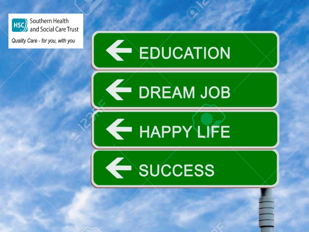





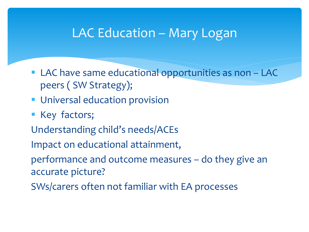#### LAC Education – Mary Logan

- **LAC have same educational opportunities as non LAC** peers ( SW Strategy);
- **Universal education provision**
- **Key factors;**
- Understanding child's needs/ACEs
- Impact on educational attainment,
- performance and outcome measures do they give an accurate picture?
- SWs/carers often not familiar with EA processes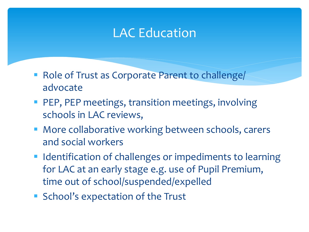### LAC Education

- **Role of Trust as Corporate Parent to challenge/** advocate
- **PEP, PEP meetings, transition meetings, involving** schools in LAC reviews,
- **More collaborative working between schools, carers** and social workers
- **Indentification of challenges or impediments to learning** for LAC at an early stage e.g. use of Pupil Premium, time out of school/suspended/expelled
- **School's expectation of the Trust**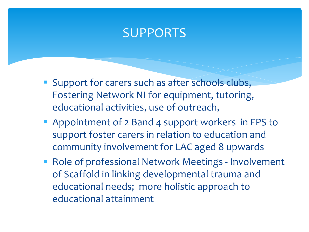#### SUPPORTS

- **Support for carers such as after schools clubs,** Fostering Network NI for equipment, tutoring, educational activities, use of outreach,
- **Appointment of 2 Band 4 support workers in FPS to** support foster carers in relation to education and community involvement for LAC aged 8 upwards
- **Role of professional Network Meetings Involvement** of Scaffold in linking developmental trauma and educational needs; more holistic approach to educational attainment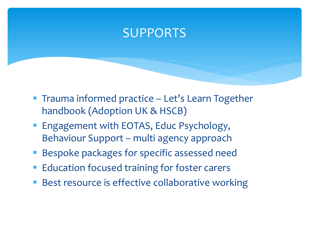#### SUPPORTS

- **Trauma informed practice Let's Learn Together** handbook (Adoption UK & HSCB)
- **Engagement with EOTAS, Educ Psychology,** Behaviour Support – multi agency approach
- **Bespoke packages for specific assessed need**
- Education focused training for foster carers
- Best resource is effective collaborative working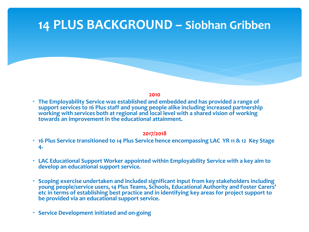#### **14 PLUS BACKGROUND – Siobhan Gribben**

**2010** 

• **The Employability Service was established and embedded and has provided a range of support services to 16 Plus staff and young people alike including increased partnership working with services both at regional and local level with a shared vision of working towards an improvement in the educational attainment.** 

#### **2017/2018**

- **16 Plus Service transitioned to 14 Plus Service hence encompassing LAC YR 11 & 12 Key Stage 4.**
- **LAC Educational Support Worker appointed within Employability Service with a key aim to develop an educational support service.**
- **Scoping exercise undertaken and included significant input from key stakeholders including young people/service users, 14 Plus Teams, Schools, Educational Authority and Foster Carers' etc in terms of establishing best practice and in identifying key areas for project support to be provided via an educational support service.**
- **Service Development initiated and on-going**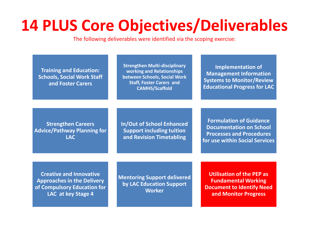# **14 PLUS Core Objectives/Deliverables**

The following deliverables were identified via the scoping exercise:

**Training and Education: Schools, Social Work Staff and Foster Carers**

**Strengthen Multi-disciplinary working and Relationships between Schools, Social Work Staff, Foster Carers and CAMHS/Scaffold**

**Implementation of Management Information Systems to Monitor/Review Educational Progress for LAC**

**Strengthen Careers Advice/Pathway Planning for LAC**

**In/Out of School Enhanced Support including tuition and Revision Timetabling**

**Formulation of Guidance Documentation on School Processes and Procedures for use within Social Services** 

**Creative and Innovative Approaches in the Delivery of Compulsory Education for LAC at key Stage 4**

**Mentoring Support delivered by LAC Education Support Worker**

**Utilisation of the PEP as Fundamental Working Document to Identify Need and Monitor Progress**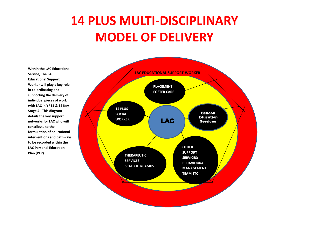## **14 PLUS MULTI-DISCIPLINARY MODEL OF DELIVERY**

**Within the LAC Educational Service, The LAC Educational Support Worker will play a key role in co-ordinating and supporting the delivery of individual pieces of work with LAC in YR11 & 12 Key Stage 4. This diagram details the key support networks for LAC who will contribute to the formulation of educational interventions and pathways to be recorded within the LAC Personal Education Plan (PEP).**

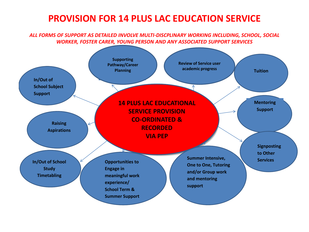#### **PROVISION FOR 14 PLUS LAC EDUCATION SERVICE**

ALL FORMS OF SUPPORT AS DETAILED INVOLVE MULTI-DISCPLINARY WORKING INCLUDING, SCHOOL, SOCIAL *WORKER, FOSTER CARER, YOUNG PERSON AND ANY ASSOCIATED SUPPORT SERVICES*

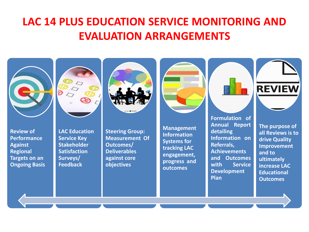#### **LAC 14 PLUS EDUCATION SERVICE MONITORING AND EVALUATION ARRANGEMENTS**

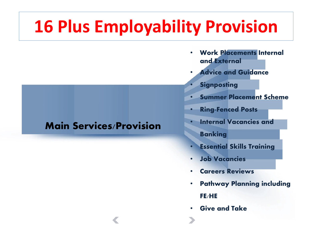# **16 Plus Employability Provision**

#### **Main Services/Provision**

- **Work Placements Internal and External**
- **Advice and Guidance**
	- **Signposting**
- **Summer Placement Scheme**
- **Ring-Fenced Posts**
- **Internal Vacancies and** 
	- **Banking**
- **Essential Skills Training**
- **Job Vacancies**
- **Careers Reviews**
- **Pathway Planning including FE/HE**
- **Give and Take**